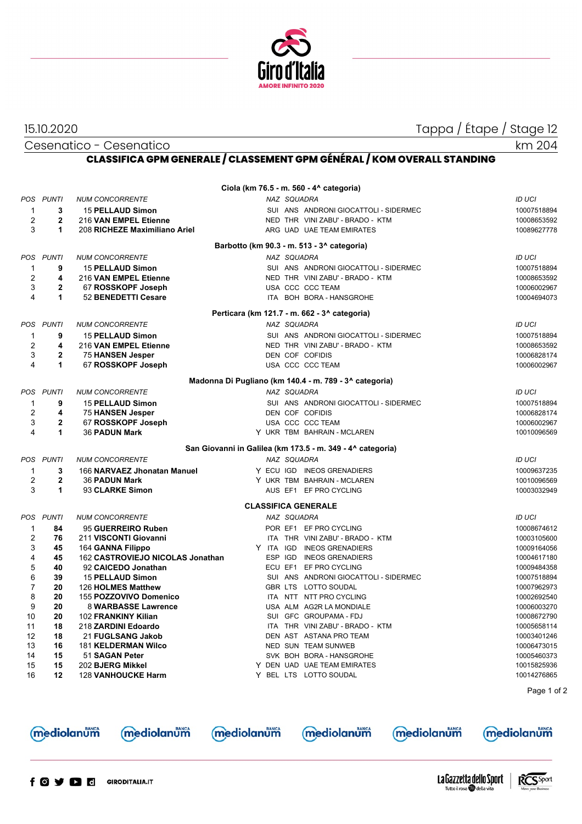

15.10.2020 Tappa / Étape / Stage 12

Cesenatico - Cesenatico

km 204

## **CLASSIFICA GPM GENERALE / CLASSEMENT GPM GÉNÉRAL / KOM OVERALL STANDING**

| Ciola (km 76.5 - m. 560 - 4^ categoria)      |                                   |                                                                     |  |             |  |                                                                           |  |                                             |  |
|----------------------------------------------|-----------------------------------|---------------------------------------------------------------------|--|-------------|--|---------------------------------------------------------------------------|--|---------------------------------------------|--|
| <b>POS</b><br>$\mathbf{1}$<br>$\overline{2}$ | <b>PUNTI</b><br>3<br>$\mathbf{2}$ | <b>NUM CONCORRENTE</b><br>15 PELLAUD Simon<br>216 VAN EMPEL Etienne |  | NAZ SQUADRA |  | SUI ANS ANDRONI GIOCATTOLI - SIDERMEC<br>NED THR VINI ZABU' - BRADO - KTM |  | <b>ID UCI</b><br>10007518894<br>10008653592 |  |
| 3                                            | 1                                 | 208 RICHEZE Maximiliano Ariel                                       |  |             |  | ARG UAD UAE TEAM EMIRATES                                                 |  | 10089627778                                 |  |
|                                              |                                   |                                                                     |  |             |  |                                                                           |  |                                             |  |
|                                              |                                   |                                                                     |  |             |  | Barbotto (km 90.3 - m. 513 - 3^ categoria)                                |  |                                             |  |
|                                              | POS PUNTI                         | <b>NUM CONCORRENTE</b>                                              |  | NAZ SQUADRA |  |                                                                           |  | <b>ID UCI</b>                               |  |
| $\mathbf 1$<br>$\overline{2}$                | 9<br>4                            | <b>15 PELLAUD Simon</b>                                             |  |             |  | SUI ANS ANDRONI GIOCATTOLI - SIDERMEC                                     |  | 10007518894                                 |  |
| 3                                            | $\mathbf{2}$                      | 216 VAN EMPEL Etienne<br>67 ROSSKOPF Joseph                         |  |             |  | NED THR VINI ZABU' - BRADO - KTM<br>USA CCC CCC TEAM                      |  | 10008653592<br>10006002967                  |  |
| 4                                            | 1                                 | 52 BENEDETTI Cesare                                                 |  |             |  | ITA BOH BORA - HANSGROHE                                                  |  | 10004694073                                 |  |
|                                              |                                   |                                                                     |  |             |  |                                                                           |  |                                             |  |
|                                              |                                   |                                                                     |  |             |  | Perticara (km 121.7 - m. 662 - 3^ categoria)                              |  |                                             |  |
| POS                                          | <b>PUNTI</b>                      | <b>NUM CONCORRENTE</b>                                              |  | NAZ SQUADRA |  |                                                                           |  | <b>ID UCI</b>                               |  |
| $\mathbf{1}$                                 | 9                                 | <b>15 PELLAUD Simon</b>                                             |  |             |  | SUI ANS ANDRONI GIOCATTOLI - SIDERMEC                                     |  | 10007518894                                 |  |
| $\overline{2}$                               | 4                                 | 216 VAN EMPEL Etienne                                               |  |             |  | NED THR VINI ZABU' - BRADO - KTM                                          |  | 10008653592                                 |  |
| 3<br>4                                       | $\mathbf 2$<br>1                  | 75 HANSEN Jesper<br>67 ROSSKOPF Joseph                              |  |             |  | DEN COF COFIDIS<br>USA CCC CCC TEAM                                       |  | 10006828174<br>10006002967                  |  |
|                                              |                                   |                                                                     |  |             |  |                                                                           |  |                                             |  |
|                                              |                                   |                                                                     |  |             |  | Madonna Di Pugliano (km 140.4 - m. 789 - 3^ categoria)                    |  |                                             |  |
|                                              | POS PUNTI                         | <b>NUM CONCORRENTE</b>                                              |  | NAZ SQUADRA |  |                                                                           |  | <b>ID UCI</b>                               |  |
| $\mathbf 1$                                  | 9                                 | <b>15 PELLAUD Simon</b>                                             |  |             |  | SUI ANS ANDRONI GIOCATTOLI - SIDERMEC                                     |  | 10007518894                                 |  |
| $\overline{2}$                               | 4                                 | <b>75 HANSEN Jesper</b>                                             |  |             |  | DEN COF COFIDIS                                                           |  | 10006828174                                 |  |
| 3                                            | $\mathbf{2}$                      | 67 ROSSKOPF Joseph                                                  |  |             |  | USA CCC CCC TEAM                                                          |  | 10006002967                                 |  |
| 4                                            | 1                                 | <b>36 PADUN Mark</b>                                                |  |             |  | Y UKR TBM BAHRAIN - MCLAREN                                               |  | 10010096569                                 |  |
|                                              |                                   |                                                                     |  |             |  | San Giovanni in Galilea (km 173.5 - m. 349 - 4^ categoria)                |  |                                             |  |
|                                              | POS PUNTI                         | <b>NUM CONCORRENTE</b>                                              |  | NAZ SQUADRA |  |                                                                           |  | <b>ID UCI</b>                               |  |
| 1                                            | 3                                 | 166 NARVAEZ Jhonatan Manuel                                         |  |             |  | Y ECU IGD INEOS GRENADIERS                                                |  | 10009637235                                 |  |
| $\overline{2}$                               | $\mathbf{2}$                      | <b>36 PADUN Mark</b>                                                |  |             |  | Y UKR TBM BAHRAIN-MCLAREN                                                 |  | 10010096569                                 |  |
| 3                                            | 1                                 | 93 CLARKE Simon                                                     |  |             |  | AUS EF1 EF PRO CYCLING                                                    |  | 10003032949                                 |  |
|                                              |                                   |                                                                     |  |             |  | <b>CLASSIFICA GENERALE</b>                                                |  |                                             |  |
|                                              | POS PUNTI                         | <b>NUM CONCORRENTE</b>                                              |  | NAZ SQUADRA |  |                                                                           |  | <b>ID UCI</b>                               |  |
| $\mathbf 1$                                  | 84                                | 95 GUERREIRO Ruben                                                  |  |             |  | POR EF1 EF PRO CYCLING                                                    |  | 10008674612                                 |  |
| $\overline{2}$                               | 76                                | 211 VISCONTI Giovanni                                               |  |             |  | ITA THR VINI ZABU' - BRADO - KTM                                          |  | 10003105600                                 |  |
| 3                                            | 45                                | 164 GANNA Filippo                                                   |  | Y ITA IGD   |  | <b>INEOS GRENADIERS</b>                                                   |  | 10009164056                                 |  |
| 4                                            | 45                                | 162 CASTROVIEJO NICOLAS Jonathan                                    |  | ESP IGD     |  | <b>INEOS GRENADIERS</b>                                                   |  | 10004617180                                 |  |
| 5                                            | 40                                | 92 CAICEDO Jonathan                                                 |  | ECU EF1     |  | EF PRO CYCLING                                                            |  | 10009484358                                 |  |
| 6<br>$\overline{7}$                          | 39<br>20                          | <b>15 PELLAUD Simon</b><br>126 HOLMES Matthew                       |  |             |  | SUI ANS ANDRONI GIOCATTOLI - SIDERMEC<br>GBR LTS LOTTO SOUDAL             |  | 10007518894<br>10007962973                  |  |
| 8                                            | 20                                | 155 POZZOVIVO Domenico                                              |  |             |  | ITA NTT NTT PRO CYCLING                                                   |  | 10002692540                                 |  |
| 9                                            | 20                                | 8 WARBASSE Lawrence                                                 |  |             |  | USA ALM AG2R LA MONDIALE                                                  |  | 10006003270                                 |  |
| 10                                           | 20                                | 102 FRANKINY Kilian                                                 |  |             |  | SUI GFC GROUPAMA - FDJ                                                    |  | 10008672790                                 |  |
| 11                                           | 18                                | 218 ZARDINI Edoardo                                                 |  |             |  | ITA THR VINI ZABU' - BRADO - KTM                                          |  | 10005658114                                 |  |
| 12                                           | 18                                | 21 FUGLSANG Jakob                                                   |  |             |  | DEN AST ASTANA PRO TEAM                                                   |  | 10003401246                                 |  |
| 13                                           | 16                                | <b>181 KELDERMAN Wilco</b>                                          |  |             |  | NED SUN TEAM SUNWEB                                                       |  | 10006473015                                 |  |
| 14                                           | 15                                | 51 SAGAN Peter                                                      |  |             |  | SVK BOH BORA - HANSGROHE                                                  |  | 10005460373                                 |  |
| 15                                           | 15                                | 202 BJERG Mikkel                                                    |  |             |  | Y DEN UAD UAE TEAM EMIRATES                                               |  | 10015825936                                 |  |
| 16                                           | 12                                | <b>128 VANHOUCKE Harm</b>                                           |  |             |  | Y BEL LTS LOTTO SOUDAL                                                    |  | 10014276865                                 |  |
|                                              |                                   |                                                                     |  |             |  |                                                                           |  | Page 1 of 2                                 |  |
|                                              |                                   |                                                                     |  |             |  |                                                                           |  |                                             |  |
|                                              |                                   |                                                                     |  |             |  |                                                                           |  |                                             |  |

mediolanum

mediolanum

mediolanum

mediolanum



**mediolanum** 



**mediolanum**